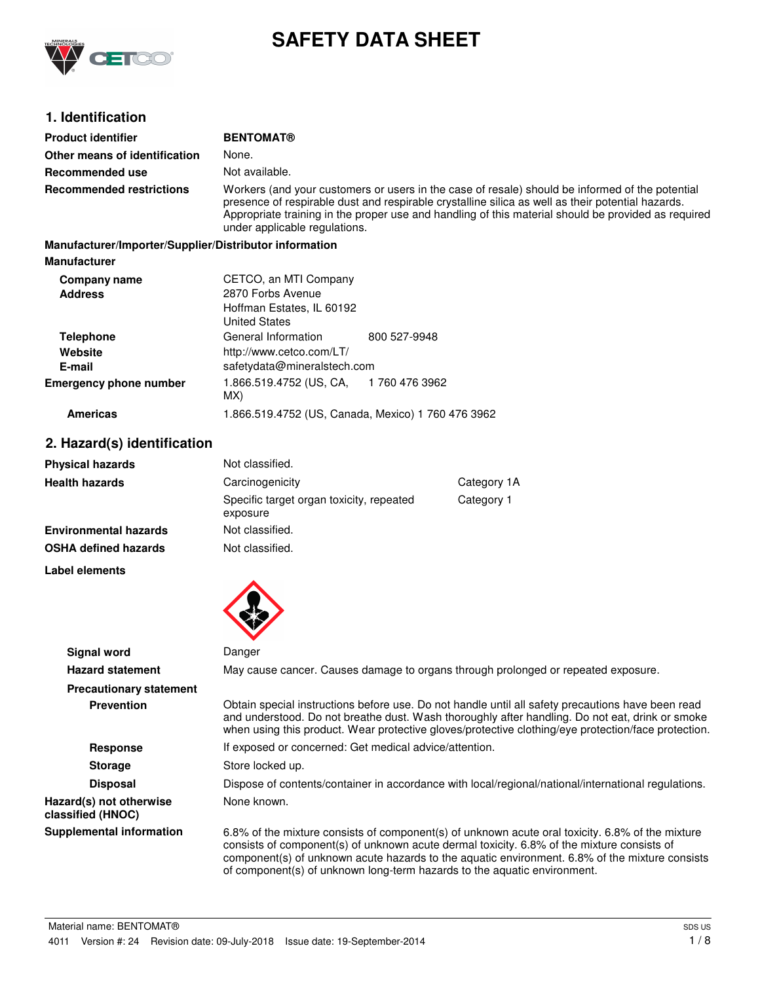

# **SAFETY DATA SHEET**

## **1. Identification**

| <b>Product identifier</b>                              | <b>BENTOMAT®</b>                                                                                                                                                                                                                                                                                                                             |               |                                                                                                                                                                                                                                                                                                             |
|--------------------------------------------------------|----------------------------------------------------------------------------------------------------------------------------------------------------------------------------------------------------------------------------------------------------------------------------------------------------------------------------------------------|---------------|-------------------------------------------------------------------------------------------------------------------------------------------------------------------------------------------------------------------------------------------------------------------------------------------------------------|
| Other means of identification                          | None.                                                                                                                                                                                                                                                                                                                                        |               |                                                                                                                                                                                                                                                                                                             |
| <b>Recommended use</b>                                 | Not available.                                                                                                                                                                                                                                                                                                                               |               |                                                                                                                                                                                                                                                                                                             |
| <b>Recommended restrictions</b>                        | Workers (and your customers or users in the case of resale) should be informed of the potential<br>presence of respirable dust and respirable crystalline silica as well as their potential hazards.<br>Appropriate training in the proper use and handling of this material should be provided as required<br>under applicable regulations. |               |                                                                                                                                                                                                                                                                                                             |
| Manufacturer/Importer/Supplier/Distributor information |                                                                                                                                                                                                                                                                                                                                              |               |                                                                                                                                                                                                                                                                                                             |
| <b>Manufacturer</b>                                    |                                                                                                                                                                                                                                                                                                                                              |               |                                                                                                                                                                                                                                                                                                             |
| Company name<br><b>Address</b>                         | CETCO, an MTI Company<br>2870 Forbs Avenue<br>Hoffman Estates, IL 60192<br><b>United States</b>                                                                                                                                                                                                                                              |               |                                                                                                                                                                                                                                                                                                             |
| <b>Telephone</b>                                       | General Information                                                                                                                                                                                                                                                                                                                          | 800 527-9948  |                                                                                                                                                                                                                                                                                                             |
| Website                                                | http://www.cetco.com/LT/                                                                                                                                                                                                                                                                                                                     |               |                                                                                                                                                                                                                                                                                                             |
| E-mail                                                 | safetydata@mineralstech.com                                                                                                                                                                                                                                                                                                                  |               |                                                                                                                                                                                                                                                                                                             |
| <b>Emergency phone number</b>                          | 1.866.519.4752 (US, CA,<br>MX)                                                                                                                                                                                                                                                                                                               | 1760 476 3962 |                                                                                                                                                                                                                                                                                                             |
| <b>Americas</b>                                        | 1.866.519.4752 (US, Canada, Mexico) 1 760 476 3962                                                                                                                                                                                                                                                                                           |               |                                                                                                                                                                                                                                                                                                             |
| 2. Hazard(s) identification                            |                                                                                                                                                                                                                                                                                                                                              |               |                                                                                                                                                                                                                                                                                                             |
| <b>Physical hazards</b>                                | Not classified.                                                                                                                                                                                                                                                                                                                              |               |                                                                                                                                                                                                                                                                                                             |
| <b>Health hazards</b>                                  | Carcinogenicity                                                                                                                                                                                                                                                                                                                              |               | Category 1A                                                                                                                                                                                                                                                                                                 |
|                                                        | Specific target organ toxicity, repeated<br>exposure                                                                                                                                                                                                                                                                                         |               | Category 1                                                                                                                                                                                                                                                                                                  |
| <b>Environmental hazards</b>                           | Not classified.                                                                                                                                                                                                                                                                                                                              |               |                                                                                                                                                                                                                                                                                                             |
| <b>OSHA defined hazards</b>                            | Not classified.                                                                                                                                                                                                                                                                                                                              |               |                                                                                                                                                                                                                                                                                                             |
| Label elements                                         |                                                                                                                                                                                                                                                                                                                                              |               |                                                                                                                                                                                                                                                                                                             |
|                                                        |                                                                                                                                                                                                                                                                                                                                              |               |                                                                                                                                                                                                                                                                                                             |
| <b>Signal word</b>                                     | Danger                                                                                                                                                                                                                                                                                                                                       |               |                                                                                                                                                                                                                                                                                                             |
| <b>Hazard statement</b>                                |                                                                                                                                                                                                                                                                                                                                              |               | May cause cancer. Causes damage to organs through prolonged or repeated exposure.                                                                                                                                                                                                                           |
| <b>Precautionary statement</b>                         |                                                                                                                                                                                                                                                                                                                                              |               |                                                                                                                                                                                                                                                                                                             |
| <b>Prevention</b>                                      |                                                                                                                                                                                                                                                                                                                                              |               | Obtain special instructions before use. Do not handle until all safety precautions have been read<br>and understood. Do not breathe dust. Wash thoroughly after handling. Do not eat, drink or smoke<br>when using this product. Wear protective gloves/protective clothing/eye protection/face protection. |
| <b>Response</b>                                        | If exposed or concerned: Get medical advice/attention.                                                                                                                                                                                                                                                                                       |               |                                                                                                                                                                                                                                                                                                             |
| <b>Storage</b>                                         | Store locked up.                                                                                                                                                                                                                                                                                                                             |               |                                                                                                                                                                                                                                                                                                             |
| <b>Disposal</b>                                        |                                                                                                                                                                                                                                                                                                                                              |               | Dispose of contents/container in accordance with local/regional/national/international regulations.                                                                                                                                                                                                         |
| Hazard(s) not otherwise<br>classified (HNOC)           | None known.                                                                                                                                                                                                                                                                                                                                  |               |                                                                                                                                                                                                                                                                                                             |
| Supplemental information                               |                                                                                                                                                                                                                                                                                                                                              |               | 6.8% of the mixture consists of component(s) of unknown acute oral toxicity. 6.8% of the mixture                                                                                                                                                                                                            |

**Supplemental information** 6.8% of the mixture consists of component(s) of unknown acute oral toxicity. 6.8% of the mixture consists of component(s) of unknown acute dermal toxicity. 6.8% of the mixture consists of component(s) of unknown acute hazards to the aquatic environment. 6.8% of the mixture consists of component(s) of unknown long-term hazards to the aquatic environment.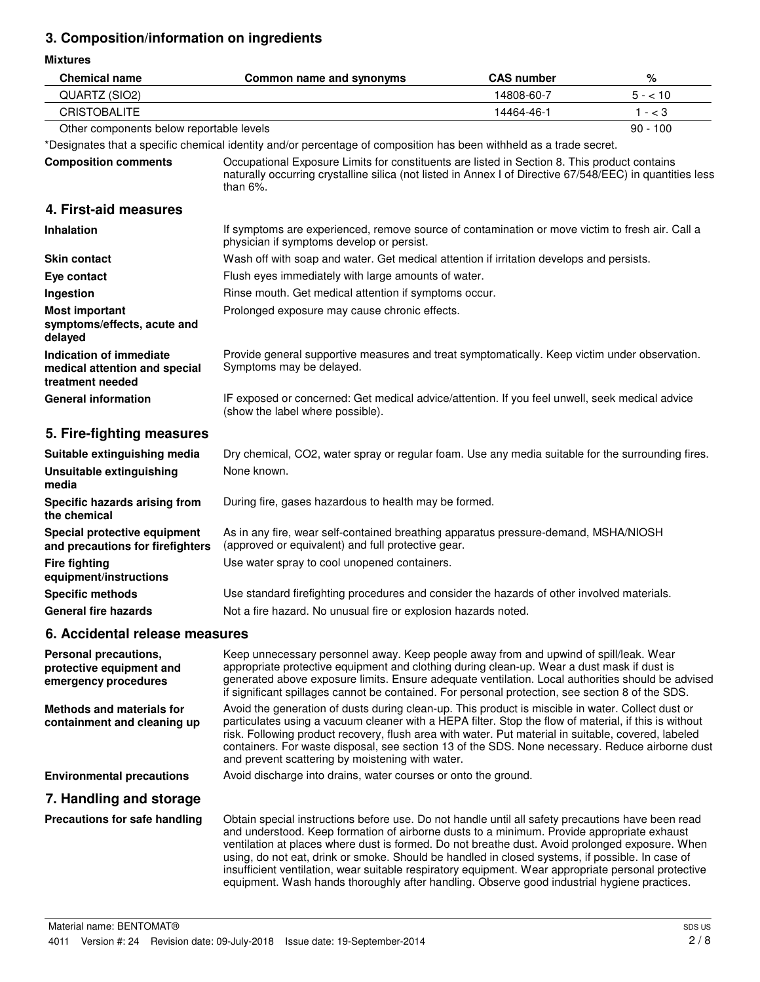## **3. Composition/information on ingredients**

**Mixtures**

| <b>Chemical name</b>                                                         | Common name and synonyms                                                                                                                                                                                                                                                                                                                                                                                                                                                                                                                                                                                    | <b>CAS number</b> | %          |
|------------------------------------------------------------------------------|-------------------------------------------------------------------------------------------------------------------------------------------------------------------------------------------------------------------------------------------------------------------------------------------------------------------------------------------------------------------------------------------------------------------------------------------------------------------------------------------------------------------------------------------------------------------------------------------------------------|-------------------|------------|
| QUARTZ (SIO2)                                                                |                                                                                                                                                                                                                                                                                                                                                                                                                                                                                                                                                                                                             | 14808-60-7        | $5 - 10$   |
| <b>CRISTOBALITE</b>                                                          |                                                                                                                                                                                                                                                                                                                                                                                                                                                                                                                                                                                                             | 14464-46-1        | $1 - < 3$  |
| Other components below reportable levels                                     |                                                                                                                                                                                                                                                                                                                                                                                                                                                                                                                                                                                                             |                   | $90 - 100$ |
|                                                                              | *Designates that a specific chemical identity and/or percentage of composition has been withheld as a trade secret.                                                                                                                                                                                                                                                                                                                                                                                                                                                                                         |                   |            |
| <b>Composition comments</b>                                                  | Occupational Exposure Limits for constituents are listed in Section 8. This product contains<br>naturally occurring crystalline silica (not listed in Annex I of Directive 67/548/EEC) in quantities less<br>than $6\%$ .                                                                                                                                                                                                                                                                                                                                                                                   |                   |            |
| 4. First-aid measures                                                        |                                                                                                                                                                                                                                                                                                                                                                                                                                                                                                                                                                                                             |                   |            |
| <b>Inhalation</b>                                                            | If symptoms are experienced, remove source of contamination or move victim to fresh air. Call a<br>physician if symptoms develop or persist.                                                                                                                                                                                                                                                                                                                                                                                                                                                                |                   |            |
| <b>Skin contact</b>                                                          | Wash off with soap and water. Get medical attention if irritation develops and persists.                                                                                                                                                                                                                                                                                                                                                                                                                                                                                                                    |                   |            |
| Eye contact                                                                  | Flush eyes immediately with large amounts of water.                                                                                                                                                                                                                                                                                                                                                                                                                                                                                                                                                         |                   |            |
| Ingestion                                                                    | Rinse mouth. Get medical attention if symptoms occur.                                                                                                                                                                                                                                                                                                                                                                                                                                                                                                                                                       |                   |            |
| <b>Most important</b><br>symptoms/effects, acute and<br>delayed              | Prolonged exposure may cause chronic effects.                                                                                                                                                                                                                                                                                                                                                                                                                                                                                                                                                               |                   |            |
| Indication of immediate<br>medical attention and special<br>treatment needed | Provide general supportive measures and treat symptomatically. Keep victim under observation.<br>Symptoms may be delayed.                                                                                                                                                                                                                                                                                                                                                                                                                                                                                   |                   |            |
| <b>General information</b>                                                   | IF exposed or concerned: Get medical advice/attention. If you feel unwell, seek medical advice<br>(show the label where possible).                                                                                                                                                                                                                                                                                                                                                                                                                                                                          |                   |            |
| 5. Fire-fighting measures                                                    |                                                                                                                                                                                                                                                                                                                                                                                                                                                                                                                                                                                                             |                   |            |
| Suitable extinguishing media                                                 | Dry chemical, CO2, water spray or regular foam. Use any media suitable for the surrounding fires.                                                                                                                                                                                                                                                                                                                                                                                                                                                                                                           |                   |            |
| <b>Unsuitable extinguishing</b><br>media                                     | None known.                                                                                                                                                                                                                                                                                                                                                                                                                                                                                                                                                                                                 |                   |            |
| Specific hazards arising from<br>the chemical                                | During fire, gases hazardous to health may be formed.                                                                                                                                                                                                                                                                                                                                                                                                                                                                                                                                                       |                   |            |
| Special protective equipment<br>and precautions for firefighters             | As in any fire, wear self-contained breathing apparatus pressure-demand, MSHA/NIOSH<br>(approved or equivalent) and full protective gear.                                                                                                                                                                                                                                                                                                                                                                                                                                                                   |                   |            |
| <b>Fire fighting</b><br>equipment/instructions                               | Use water spray to cool unopened containers.                                                                                                                                                                                                                                                                                                                                                                                                                                                                                                                                                                |                   |            |
| <b>Specific methods</b>                                                      | Use standard firefighting procedures and consider the hazards of other involved materials.                                                                                                                                                                                                                                                                                                                                                                                                                                                                                                                  |                   |            |
| <b>General fire hazards</b>                                                  | Not a fire hazard. No unusual fire or explosion hazards noted.                                                                                                                                                                                                                                                                                                                                                                                                                                                                                                                                              |                   |            |
| 6. Accidental release measures                                               |                                                                                                                                                                                                                                                                                                                                                                                                                                                                                                                                                                                                             |                   |            |
| Personal precautions,<br>protective equipment and<br>emergency procedures    | Keep unnecessary personnel away. Keep people away from and upwind of spill/leak. Wear<br>appropriate protective equipment and clothing during clean-up. Wear a dust mask if dust is<br>generated above exposure limits. Ensure adequate ventilation. Local authorities should be advised<br>if significant spillages cannot be contained. For personal protection, see section 8 of the SDS.                                                                                                                                                                                                                |                   |            |
| <b>Methods and materials for</b><br>containment and cleaning up              | Avoid the generation of dusts during clean-up. This product is miscible in water. Collect dust or<br>particulates using a vacuum cleaner with a HEPA filter. Stop the flow of material, if this is without<br>risk. Following product recovery, flush area with water. Put material in suitable, covered, labeled<br>containers. For waste disposal, see section 13 of the SDS. None necessary. Reduce airborne dust<br>and prevent scattering by moistening with water.                                                                                                                                    |                   |            |
| <b>Environmental precautions</b>                                             | Avoid discharge into drains, water courses or onto the ground.                                                                                                                                                                                                                                                                                                                                                                                                                                                                                                                                              |                   |            |
| 7. Handling and storage                                                      |                                                                                                                                                                                                                                                                                                                                                                                                                                                                                                                                                                                                             |                   |            |
| Precautions for safe handling                                                | Obtain special instructions before use. Do not handle until all safety precautions have been read<br>and understood. Keep formation of airborne dusts to a minimum. Provide appropriate exhaust<br>ventilation at places where dust is formed. Do not breathe dust. Avoid prolonged exposure. When<br>using, do not eat, drink or smoke. Should be handled in closed systems, if possible. In case of<br>insufficient ventilation, wear suitable respiratory equipment. Wear appropriate personal protective<br>equipment. Wash hands thoroughly after handling. Observe good industrial hygiene practices. |                   |            |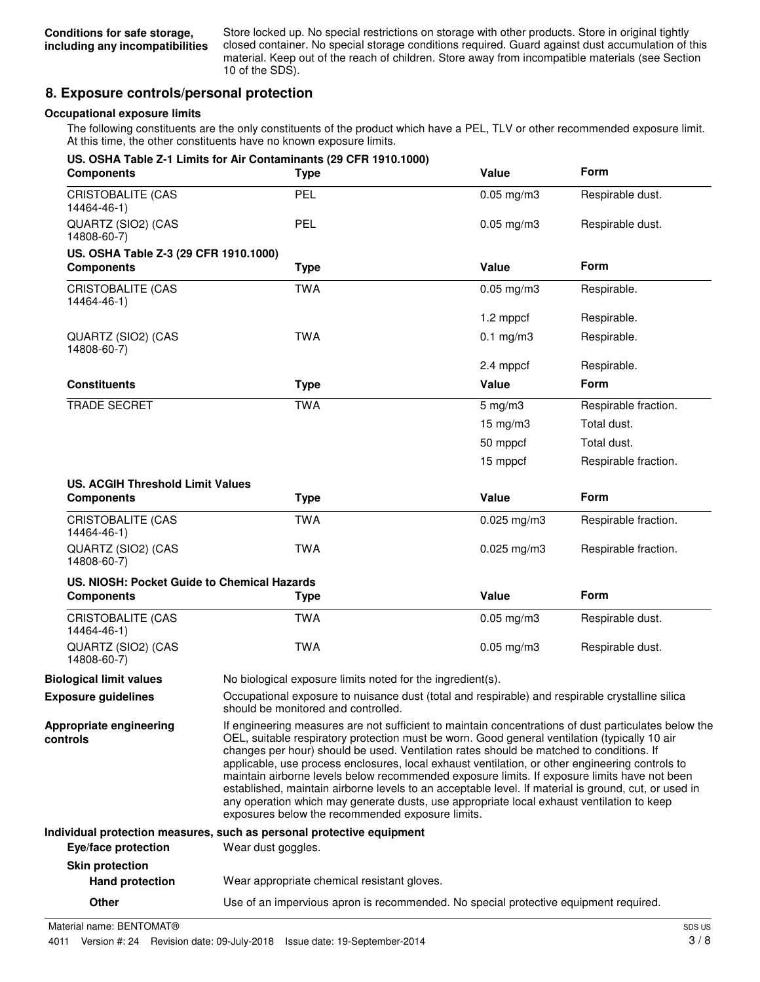Store locked up. No special restrictions on storage with other products. Store in original tightly closed container. No special storage conditions required. Guard against dust accumulation of this material. Keep out of the reach of children. Store away from incompatible materials (see Section 10 of the SDS).

### **8. Exposure controls/personal protection**

#### **Occupational exposure limits**

The following constituents are the only constituents of the product which have a PEL, TLV or other recommended exposure limit. At this time, the other constituents have no known exposure limits.

| <b>Components</b>                                | US. OSHA Table Z-1 Limits for Air Contaminants (29 CFR 1910.1000)<br><b>Type</b>                                                                                                                                                                                                                                                                                                                                                                                                                                                                                                                                                                                                                                                                             | Value                                                                                           | <b>Form</b>          |
|--------------------------------------------------|--------------------------------------------------------------------------------------------------------------------------------------------------------------------------------------------------------------------------------------------------------------------------------------------------------------------------------------------------------------------------------------------------------------------------------------------------------------------------------------------------------------------------------------------------------------------------------------------------------------------------------------------------------------------------------------------------------------------------------------------------------------|-------------------------------------------------------------------------------------------------|----------------------|
| <b>CRISTOBALITE (CAS</b><br>14464-46-1)          | PEL                                                                                                                                                                                                                                                                                                                                                                                                                                                                                                                                                                                                                                                                                                                                                          | $0.05$ mg/m $3$                                                                                 | Respirable dust.     |
| QUARTZ (SIO2) (CAS<br>14808-60-7)                | PEL                                                                                                                                                                                                                                                                                                                                                                                                                                                                                                                                                                                                                                                                                                                                                          | $0.05$ mg/m $3$                                                                                 | Respirable dust.     |
| US. OSHA Table Z-3 (29 CFR 1910.1000)            |                                                                                                                                                                                                                                                                                                                                                                                                                                                                                                                                                                                                                                                                                                                                                              |                                                                                                 |                      |
| <b>Components</b>                                | <b>Type</b>                                                                                                                                                                                                                                                                                                                                                                                                                                                                                                                                                                                                                                                                                                                                                  | Value                                                                                           | <b>Form</b>          |
| CRISTOBALITE (CAS<br>14464-46-1)                 | <b>TWA</b>                                                                                                                                                                                                                                                                                                                                                                                                                                                                                                                                                                                                                                                                                                                                                   | $0.05$ mg/m $3$                                                                                 | Respirable.          |
|                                                  |                                                                                                                                                                                                                                                                                                                                                                                                                                                                                                                                                                                                                                                                                                                                                              | 1.2 mppcf                                                                                       | Respirable.          |
| QUARTZ (SIO2) (CAS<br>14808-60-7)                | <b>TWA</b>                                                                                                                                                                                                                                                                                                                                                                                                                                                                                                                                                                                                                                                                                                                                                   | $0.1$ mg/m $3$                                                                                  | Respirable.          |
|                                                  |                                                                                                                                                                                                                                                                                                                                                                                                                                                                                                                                                                                                                                                                                                                                                              | 2.4 mppcf                                                                                       | Respirable.          |
| <b>Constituents</b>                              | <b>Type</b>                                                                                                                                                                                                                                                                                                                                                                                                                                                                                                                                                                                                                                                                                                                                                  | Value                                                                                           | <b>Form</b>          |
| <b>TRADE SECRET</b>                              | <b>TWA</b>                                                                                                                                                                                                                                                                                                                                                                                                                                                                                                                                                                                                                                                                                                                                                   | $5$ mg/m $3$                                                                                    | Respirable fraction. |
|                                                  |                                                                                                                                                                                                                                                                                                                                                                                                                                                                                                                                                                                                                                                                                                                                                              | $15 \text{ mg/m}$ 3                                                                             | Total dust.          |
|                                                  |                                                                                                                                                                                                                                                                                                                                                                                                                                                                                                                                                                                                                                                                                                                                                              | 50 mppcf                                                                                        | Total dust.          |
|                                                  |                                                                                                                                                                                                                                                                                                                                                                                                                                                                                                                                                                                                                                                                                                                                                              | 15 mppcf                                                                                        | Respirable fraction. |
| <b>US. ACGIH Threshold Limit Values</b>          |                                                                                                                                                                                                                                                                                                                                                                                                                                                                                                                                                                                                                                                                                                                                                              |                                                                                                 |                      |
| <b>Components</b>                                | <b>Type</b>                                                                                                                                                                                                                                                                                                                                                                                                                                                                                                                                                                                                                                                                                                                                                  | Value                                                                                           | Form                 |
| <b>CRISTOBALITE (CAS</b><br>14464-46-1)          | <b>TWA</b>                                                                                                                                                                                                                                                                                                                                                                                                                                                                                                                                                                                                                                                                                                                                                   | $0.025$ mg/m3                                                                                   | Respirable fraction. |
| QUARTZ (SIO2) (CAS<br>14808-60-7)                | <b>TWA</b>                                                                                                                                                                                                                                                                                                                                                                                                                                                                                                                                                                                                                                                                                                                                                   | $0.025$ mg/m $3$                                                                                | Respirable fraction. |
| US. NIOSH: Pocket Guide to Chemical Hazards      |                                                                                                                                                                                                                                                                                                                                                                                                                                                                                                                                                                                                                                                                                                                                                              |                                                                                                 |                      |
| <b>Components</b>                                | <b>Type</b>                                                                                                                                                                                                                                                                                                                                                                                                                                                                                                                                                                                                                                                                                                                                                  | Value                                                                                           | Form                 |
| <b>CRISTOBALITE (CAS</b><br>14464-46-1)          | <b>TWA</b>                                                                                                                                                                                                                                                                                                                                                                                                                                                                                                                                                                                                                                                                                                                                                   | $0.05$ mg/m $3$                                                                                 | Respirable dust.     |
| QUARTZ (SIO2) (CAS<br>14808-60-7)                | <b>TWA</b>                                                                                                                                                                                                                                                                                                                                                                                                                                                                                                                                                                                                                                                                                                                                                   | $0.05$ mg/m $3$                                                                                 | Respirable dust.     |
| <b>Biological limit values</b>                   | No biological exposure limits noted for the ingredient(s).                                                                                                                                                                                                                                                                                                                                                                                                                                                                                                                                                                                                                                                                                                   |                                                                                                 |                      |
| <b>Exposure guidelines</b>                       | should be monitored and controlled.                                                                                                                                                                                                                                                                                                                                                                                                                                                                                                                                                                                                                                                                                                                          | Occupational exposure to nuisance dust (total and respirable) and respirable crystalline silica |                      |
| Appropriate engineering<br>controls              | If engineering measures are not sufficient to maintain concentrations of dust particulates below the<br>OEL, suitable respiratory protection must be worn. Good general ventilation (typically 10 air<br>changes per hour) should be used. Ventilation rates should be matched to conditions. If<br>applicable, use process enclosures, local exhaust ventilation, or other engineering controls to<br>maintain airborne levels below recommended exposure limits. If exposure limits have not been<br>established, maintain airborne levels to an acceptable level. If material is ground, cut, or used in<br>any operation which may generate dusts, use appropriate local exhaust ventilation to keep<br>exposures below the recommended exposure limits. |                                                                                                 |                      |
|                                                  | Individual protection measures, such as personal protective equipment                                                                                                                                                                                                                                                                                                                                                                                                                                                                                                                                                                                                                                                                                        |                                                                                                 |                      |
| Eye/face protection                              | Wear dust goggles.                                                                                                                                                                                                                                                                                                                                                                                                                                                                                                                                                                                                                                                                                                                                           |                                                                                                 |                      |
| <b>Skin protection</b><br><b>Hand protection</b> | Wear appropriate chemical resistant gloves.                                                                                                                                                                                                                                                                                                                                                                                                                                                                                                                                                                                                                                                                                                                  |                                                                                                 |                      |
|                                                  |                                                                                                                                                                                                                                                                                                                                                                                                                                                                                                                                                                                                                                                                                                                                                              |                                                                                                 |                      |

**Other** Use of an impervious apron is recommended. No special protective equipment required.

Material name: BENTOMAT®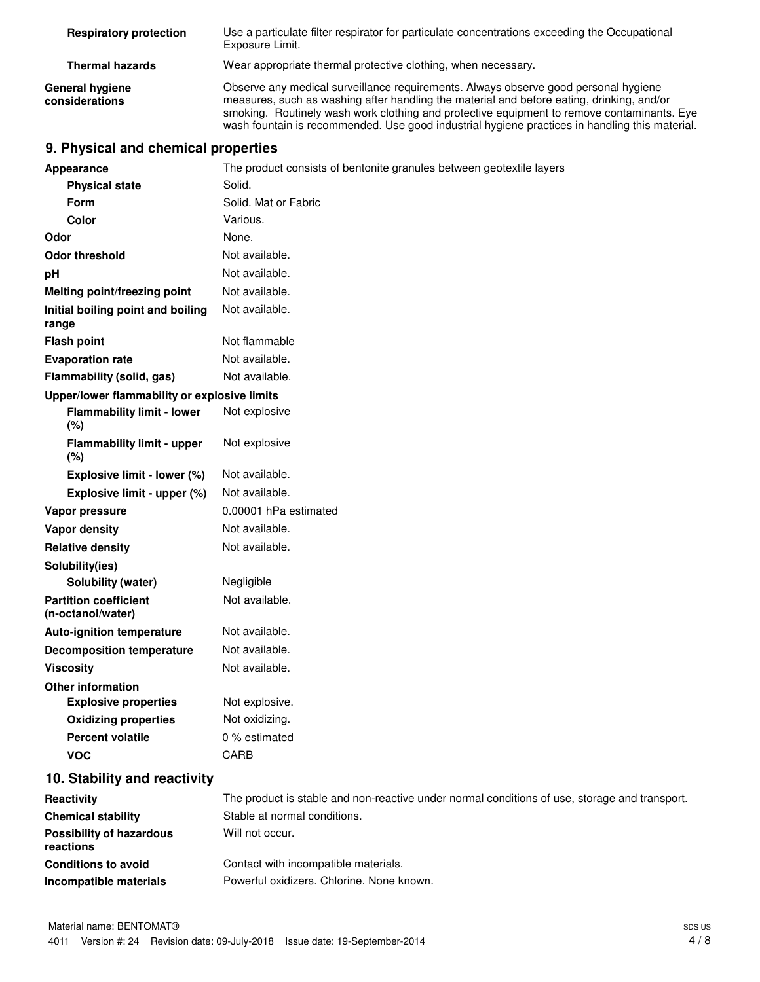| <b>Respiratory protection</b>     | Use a particulate filter respirator for particulate concentrations exceeding the Occupational<br>Exposure Limit.                                                                                                                                                                                                                                                                 |
|-----------------------------------|----------------------------------------------------------------------------------------------------------------------------------------------------------------------------------------------------------------------------------------------------------------------------------------------------------------------------------------------------------------------------------|
| <b>Thermal hazards</b>            | Wear appropriate thermal protective clothing, when necessary.                                                                                                                                                                                                                                                                                                                    |
| General hygiene<br>considerations | Observe any medical surveillance requirements. Always observe good personal hygiene<br>measures, such as washing after handling the material and before eating, drinking, and/or<br>smoking. Routinely wash work clothing and protective equipment to remove contaminants. Eye<br>wash fountain is recommended. Use good industrial hygiene practices in handling this material. |

## **9. Physical and chemical properties**

| <b>Appearance</b>                                 | The product consists of bentonite granules between geotextile layers                          |
|---------------------------------------------------|-----------------------------------------------------------------------------------------------|
| <b>Physical state</b>                             | Solid.                                                                                        |
| Form                                              | Solid. Mat or Fabric                                                                          |
| <b>Color</b>                                      | Various.                                                                                      |
| Odor                                              | None.                                                                                         |
| <b>Odor threshold</b>                             | Not available.                                                                                |
| рH                                                | Not available.                                                                                |
| <b>Melting point/freezing point</b>               | Not available.                                                                                |
| Initial boiling point and boiling<br>range        | Not available.                                                                                |
| <b>Flash point</b>                                | Not flammable                                                                                 |
| <b>Evaporation rate</b>                           | Not available.                                                                                |
| Flammability (solid, gas)                         | Not available.                                                                                |
| Upper/lower flammability or explosive limits      |                                                                                               |
| <b>Flammability limit - lower</b><br>(%)          | Not explosive                                                                                 |
| <b>Flammability limit - upper</b><br>(%)          | Not explosive                                                                                 |
| Explosive limit - lower (%)                       | Not available.                                                                                |
| Explosive limit - upper (%)                       | Not available.                                                                                |
| Vapor pressure                                    | 0.00001 hPa estimated                                                                         |
| <b>Vapor density</b>                              | Not available.                                                                                |
| <b>Relative density</b>                           | Not available.                                                                                |
| Solubility(ies)                                   |                                                                                               |
| Solubility (water)                                | Negligible                                                                                    |
| <b>Partition coefficient</b><br>(n-octanol/water) | Not available.                                                                                |
| <b>Auto-ignition temperature</b>                  | Not available.                                                                                |
| <b>Decomposition temperature</b>                  | Not available.                                                                                |
| <b>Viscosity</b>                                  | Not available.                                                                                |
| <b>Other information</b>                          |                                                                                               |
| <b>Explosive properties</b>                       | Not explosive.                                                                                |
| <b>Oxidizing properties</b>                       | Not oxidizing.                                                                                |
| <b>Percent volatile</b>                           | 0 % estimated                                                                                 |
| <b>VOC</b>                                        | CARB                                                                                          |
| 10. Stability and reactivity                      |                                                                                               |
| Reactivity                                        | The product is stable and non-reactive under normal conditions of use, storage and transport. |
| <b>Chemical stability</b>                         | Stable at normal conditions.                                                                  |
| <b>Possibility of hazardous</b><br>reactions      | Will not occur.                                                                               |
| <b>Conditions to avoid</b>                        | Contact with incompatible materials.                                                          |
| Incompatible materials                            | Powerful oxidizers. Chlorine. None known.                                                     |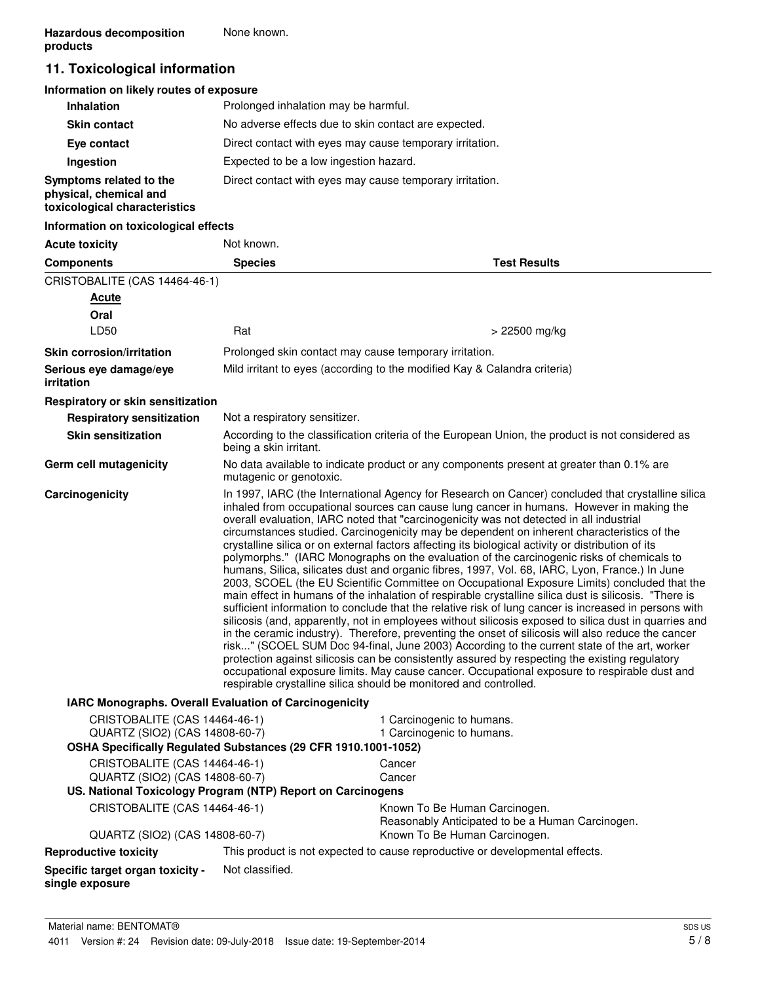## **11. Toxicological information**

#### **Information on likely routes of exposure**

| <b>Inhalation</b>                                                                  | Prolonged inhalation may be harmful.                     |
|------------------------------------------------------------------------------------|----------------------------------------------------------|
| <b>Skin contact</b>                                                                | No adverse effects due to skin contact are expected.     |
| Eye contact                                                                        | Direct contact with eyes may cause temporary irritation. |
| Ingestion                                                                          | Expected to be a low ingestion hazard.                   |
| Symptoms related to the<br>physical, chemical and<br>toxicological characteristics | Direct contact with eyes may cause temporary irritation. |

#### **Information on toxicological effects**

| <b>Acute toxicity</b>                                                                            | Not known.                    |                                                                                                                                                                                                                                                                                                                                                                                                                                                                                                                                                                                                                                                                                                                                                                                                                                                                                                                                                                                                                                                                                                                                                                                                                                                                                                                                                                                                                                                                                                                                                                                                    |  |
|--------------------------------------------------------------------------------------------------|-------------------------------|----------------------------------------------------------------------------------------------------------------------------------------------------------------------------------------------------------------------------------------------------------------------------------------------------------------------------------------------------------------------------------------------------------------------------------------------------------------------------------------------------------------------------------------------------------------------------------------------------------------------------------------------------------------------------------------------------------------------------------------------------------------------------------------------------------------------------------------------------------------------------------------------------------------------------------------------------------------------------------------------------------------------------------------------------------------------------------------------------------------------------------------------------------------------------------------------------------------------------------------------------------------------------------------------------------------------------------------------------------------------------------------------------------------------------------------------------------------------------------------------------------------------------------------------------------------------------------------------------|--|
| <b>Components</b>                                                                                | <b>Species</b>                | <b>Test Results</b>                                                                                                                                                                                                                                                                                                                                                                                                                                                                                                                                                                                                                                                                                                                                                                                                                                                                                                                                                                                                                                                                                                                                                                                                                                                                                                                                                                                                                                                                                                                                                                                |  |
| CRISTOBALITE (CAS 14464-46-1)                                                                    |                               |                                                                                                                                                                                                                                                                                                                                                                                                                                                                                                                                                                                                                                                                                                                                                                                                                                                                                                                                                                                                                                                                                                                                                                                                                                                                                                                                                                                                                                                                                                                                                                                                    |  |
| <b>Acute</b>                                                                                     |                               |                                                                                                                                                                                                                                                                                                                                                                                                                                                                                                                                                                                                                                                                                                                                                                                                                                                                                                                                                                                                                                                                                                                                                                                                                                                                                                                                                                                                                                                                                                                                                                                                    |  |
| Oral                                                                                             |                               |                                                                                                                                                                                                                                                                                                                                                                                                                                                                                                                                                                                                                                                                                                                                                                                                                                                                                                                                                                                                                                                                                                                                                                                                                                                                                                                                                                                                                                                                                                                                                                                                    |  |
| LD50                                                                                             | Rat                           | > 22500 mg/kg                                                                                                                                                                                                                                                                                                                                                                                                                                                                                                                                                                                                                                                                                                                                                                                                                                                                                                                                                                                                                                                                                                                                                                                                                                                                                                                                                                                                                                                                                                                                                                                      |  |
| <b>Skin corrosion/irritation</b>                                                                 |                               | Prolonged skin contact may cause temporary irritation.                                                                                                                                                                                                                                                                                                                                                                                                                                                                                                                                                                                                                                                                                                                                                                                                                                                                                                                                                                                                                                                                                                                                                                                                                                                                                                                                                                                                                                                                                                                                             |  |
| Serious eye damage/eye<br>irritation                                                             |                               | Mild irritant to eyes (according to the modified Kay & Calandra criteria)                                                                                                                                                                                                                                                                                                                                                                                                                                                                                                                                                                                                                                                                                                                                                                                                                                                                                                                                                                                                                                                                                                                                                                                                                                                                                                                                                                                                                                                                                                                          |  |
| Respiratory or skin sensitization                                                                |                               |                                                                                                                                                                                                                                                                                                                                                                                                                                                                                                                                                                                                                                                                                                                                                                                                                                                                                                                                                                                                                                                                                                                                                                                                                                                                                                                                                                                                                                                                                                                                                                                                    |  |
| <b>Respiratory sensitization</b>                                                                 | Not a respiratory sensitizer. |                                                                                                                                                                                                                                                                                                                                                                                                                                                                                                                                                                                                                                                                                                                                                                                                                                                                                                                                                                                                                                                                                                                                                                                                                                                                                                                                                                                                                                                                                                                                                                                                    |  |
| <b>Skin sensitization</b>                                                                        | being a skin irritant.        | According to the classification criteria of the European Union, the product is not considered as                                                                                                                                                                                                                                                                                                                                                                                                                                                                                                                                                                                                                                                                                                                                                                                                                                                                                                                                                                                                                                                                                                                                                                                                                                                                                                                                                                                                                                                                                                   |  |
| Germ cell mutagenicity                                                                           | mutagenic or genotoxic.       | No data available to indicate product or any components present at greater than 0.1% are                                                                                                                                                                                                                                                                                                                                                                                                                                                                                                                                                                                                                                                                                                                                                                                                                                                                                                                                                                                                                                                                                                                                                                                                                                                                                                                                                                                                                                                                                                           |  |
| Carcinogenicity                                                                                  |                               | In 1997, IARC (the International Agency for Research on Cancer) concluded that crystalline silica<br>inhaled from occupational sources can cause lung cancer in humans. However in making the<br>overall evaluation, IARC noted that "carcinogenicity was not detected in all industrial<br>circumstances studied. Carcinogenicity may be dependent on inherent characteristics of the<br>crystalline silica or on external factors affecting its biological activity or distribution of its<br>polymorphs." (IARC Monographs on the evaluation of the carcinogenic risks of chemicals to<br>humans, Silica, silicates dust and organic fibres, 1997, Vol. 68, IARC, Lyon, France.) In June<br>2003, SCOEL (the EU Scientific Committee on Occupational Exposure Limits) concluded that the<br>main effect in humans of the inhalation of respirable crystalline silica dust is silicosis. "There is<br>sufficient information to conclude that the relative risk of lung cancer is increased in persons with<br>silicosis (and, apparently, not in employees without silicosis exposed to silica dust in quarries and<br>in the ceramic industry). Therefore, preventing the onset of silicosis will also reduce the cancer<br>risk" (SCOEL SUM Doc 94-final, June 2003) According to the current state of the art, worker<br>protection against silicosis can be consistently assured by respecting the existing regulatory<br>occupational exposure limits. May cause cancer. Occupational exposure to respirable dust and<br>respirable crystalline silica should be monitored and controlled. |  |
| IARC Monographs. Overall Evaluation of Carcinogenicity                                           |                               |                                                                                                                                                                                                                                                                                                                                                                                                                                                                                                                                                                                                                                                                                                                                                                                                                                                                                                                                                                                                                                                                                                                                                                                                                                                                                                                                                                                                                                                                                                                                                                                                    |  |
| CRISTOBALITE (CAS 14464-46-1)                                                                    |                               | 1 Carcinogenic to humans.                                                                                                                                                                                                                                                                                                                                                                                                                                                                                                                                                                                                                                                                                                                                                                                                                                                                                                                                                                                                                                                                                                                                                                                                                                                                                                                                                                                                                                                                                                                                                                          |  |
| QUARTZ (SIO2) (CAS 14808-60-7)<br>OSHA Specifically Regulated Substances (29 CFR 1910.1001-1052) |                               | 1 Carcinogenic to humans.                                                                                                                                                                                                                                                                                                                                                                                                                                                                                                                                                                                                                                                                                                                                                                                                                                                                                                                                                                                                                                                                                                                                                                                                                                                                                                                                                                                                                                                                                                                                                                          |  |
|                                                                                                  |                               | Cancer                                                                                                                                                                                                                                                                                                                                                                                                                                                                                                                                                                                                                                                                                                                                                                                                                                                                                                                                                                                                                                                                                                                                                                                                                                                                                                                                                                                                                                                                                                                                                                                             |  |
| CRISTOBALITE (CAS 14464-46-1)<br>QUARTZ (SIO2) (CAS 14808-60-7)                                  |                               | Cancer                                                                                                                                                                                                                                                                                                                                                                                                                                                                                                                                                                                                                                                                                                                                                                                                                                                                                                                                                                                                                                                                                                                                                                                                                                                                                                                                                                                                                                                                                                                                                                                             |  |
| US. National Toxicology Program (NTP) Report on Carcinogens                                      |                               |                                                                                                                                                                                                                                                                                                                                                                                                                                                                                                                                                                                                                                                                                                                                                                                                                                                                                                                                                                                                                                                                                                                                                                                                                                                                                                                                                                                                                                                                                                                                                                                                    |  |
| CRISTOBALITE (CAS 14464-46-1)                                                                    |                               | Known To Be Human Carcinogen.<br>Reasonably Anticipated to be a Human Carcinogen.                                                                                                                                                                                                                                                                                                                                                                                                                                                                                                                                                                                                                                                                                                                                                                                                                                                                                                                                                                                                                                                                                                                                                                                                                                                                                                                                                                                                                                                                                                                  |  |
| QUARTZ (SIO2) (CAS 14808-60-7)                                                                   |                               | Known To Be Human Carcinogen.                                                                                                                                                                                                                                                                                                                                                                                                                                                                                                                                                                                                                                                                                                                                                                                                                                                                                                                                                                                                                                                                                                                                                                                                                                                                                                                                                                                                                                                                                                                                                                      |  |
| <b>Reproductive toxicity</b>                                                                     |                               | This product is not expected to cause reproductive or developmental effects.                                                                                                                                                                                                                                                                                                                                                                                                                                                                                                                                                                                                                                                                                                                                                                                                                                                                                                                                                                                                                                                                                                                                                                                                                                                                                                                                                                                                                                                                                                                       |  |
| Specific target organ toxicity -<br>single exposure                                              | Not classified.               |                                                                                                                                                                                                                                                                                                                                                                                                                                                                                                                                                                                                                                                                                                                                                                                                                                                                                                                                                                                                                                                                                                                                                                                                                                                                                                                                                                                                                                                                                                                                                                                                    |  |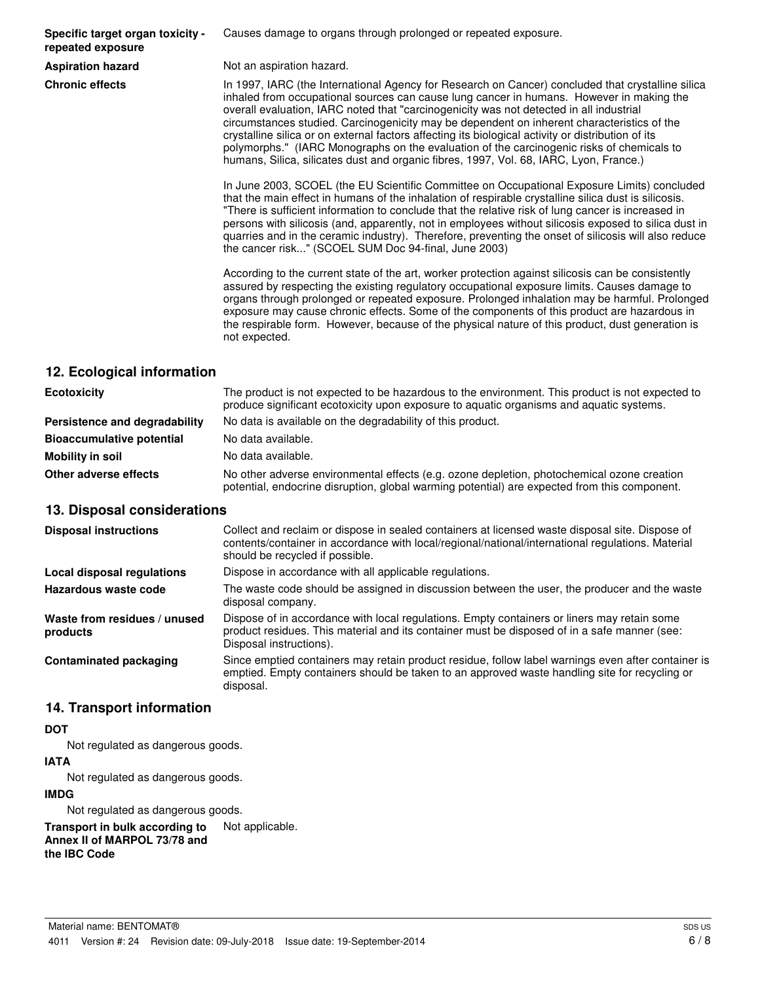**Specific target organ toxicity repeated exposure**

Causes damage to organs through prolonged or repeated exposure.

**Aspiration hazard** Not an aspiration hazard.

**Chronic effects** In 1997, IARC (the International Agency for Research on Cancer) concluded that crystalline silica inhaled from occupational sources can cause lung cancer in humans. However in making the overall evaluation, IARC noted that "carcinogenicity was not detected in all industrial circumstances studied. Carcinogenicity may be dependent on inherent characteristics of the crystalline silica or on external factors affecting its biological activity or distribution of its polymorphs." (IARC Monographs on the evaluation of the carcinogenic risks of chemicals to humans, Silica, silicates dust and organic fibres, 1997, Vol. 68, IARC, Lyon, France.)

> In June 2003, SCOEL (the EU Scientific Committee on Occupational Exposure Limits) concluded that the main effect in humans of the inhalation of respirable crystalline silica dust is silicosis. "There is sufficient information to conclude that the relative risk of lung cancer is increased in persons with silicosis (and, apparently, not in employees without silicosis exposed to silica dust in quarries and in the ceramic industry). Therefore, preventing the onset of silicosis will also reduce the cancer risk..." (SCOEL SUM Doc 94-final, June 2003)

> According to the current state of the art, worker protection against silicosis can be consistently assured by respecting the existing regulatory occupational exposure limits. Causes damage to organs through prolonged or repeated exposure. Prolonged inhalation may be harmful. Prolonged exposure may cause chronic effects. Some of the components of this product are hazardous in the respirable form. However, because of the physical nature of this product, dust generation is not expected.

#### **12. Ecological information**

| <b>Ecotoxicity</b>               | The product is not expected to be hazardous to the environment. This product is not expected to<br>produce significant ecotoxicity upon exposure to aquatic organisms and aquatic systems. |
|----------------------------------|--------------------------------------------------------------------------------------------------------------------------------------------------------------------------------------------|
| Persistence and degradability    | No data is available on the degradability of this product.                                                                                                                                 |
| <b>Bioaccumulative potential</b> | No data available.                                                                                                                                                                         |
| Mobility in soil                 | No data available.                                                                                                                                                                         |
| Other adverse effects            | No other adverse environmental effects (e.g. ozone depletion, photochemical ozone creation<br>potential, endocrine disruption, global warming potential) are expected from this component. |

#### **13. Disposal considerations**

| <b>Disposal instructions</b>             | Collect and reclaim or dispose in sealed containers at licensed waste disposal site. Dispose of<br>contents/container in accordance with local/regional/national/international regulations. Material<br>should be recycled if possible. |
|------------------------------------------|-----------------------------------------------------------------------------------------------------------------------------------------------------------------------------------------------------------------------------------------|
| Local disposal regulations               | Dispose in accordance with all applicable regulations.                                                                                                                                                                                  |
| Hazardous waste code                     | The waste code should be assigned in discussion between the user, the producer and the waste<br>disposal company.                                                                                                                       |
| Waste from residues / unused<br>products | Dispose of in accordance with local regulations. Empty containers or liners may retain some<br>product residues. This material and its container must be disposed of in a safe manner (see:<br>Disposal instructions).                  |
| <b>Contaminated packaging</b>            | Since emptied containers may retain product residue, follow label warnings even after container is<br>emptied. Empty containers should be taken to an approved waste handling site for recycling or<br>disposal.                        |

#### **14. Transport information**

#### **DOT**

Not regulated as dangerous goods.

#### **IATA**

Not regulated as dangerous goods.

#### **IMDG**

Not regulated as dangerous goods.

**Transport in bulk according to** Not applicable. **Annex II of MARPOL 73/78 and the IBC Code**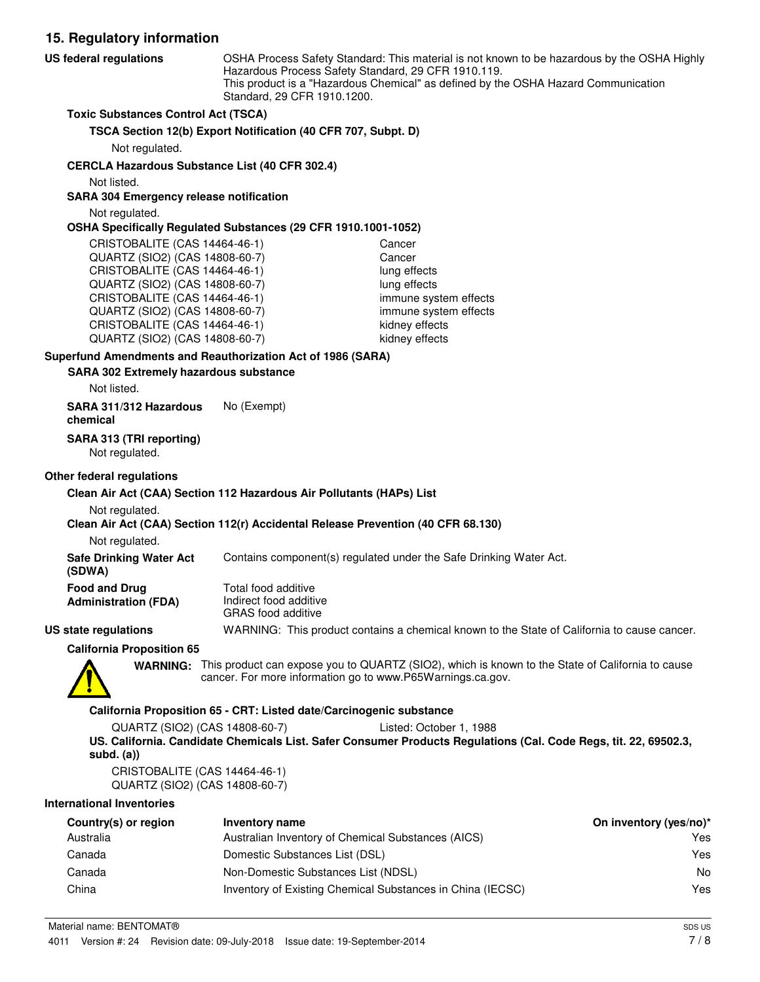**15. Regulatory information** OSHA Process Safety Standard: This material is not known to be hazardous by the OSHA Highly Hazardous Process Safety Standard, 29 CFR 1910.119. This product is a "Hazardous Chemical" as defined by the OSHA Hazard Communication Standard, 29 CFR 1910.1200. **US federal regulations Toxic Substances Control Act (TSCA) TSCA Section 12(b) Export Notification (40 CFR 707, Subpt. D)** Not regulated. **CERCLA Hazardous Substance List (40 CFR 302.4)** Not listed. **SARA 304 Emergency release notification** Not regulated. **OSHA Specifically Regulated Substances (29 CFR 1910.1001-1052)** CRISTOBALITE (CAS 14464-46-1) Cancer QUARTZ (SIO2) (CAS 14808-60-7) Cancer CRISTOBALITE (CAS 14464-46-1) lung effects QUARTZ (SIO2) (CAS 14808-60-7) lung effects CRISTOBALITE (CAS 14464-46-1) immune system effects QUARTZ (SIO2) (CAS 14808-60-7) immune system effects CRISTOBALITE (CAS 14464-46-1) kidney effects QUARTZ (SIO2) (CAS 14808-60-7) kidney effects **SARA 302 Extremely hazardous substance Superfund Amendments and Reauthorization Act of 1986 (SARA)** Not listed. **SARA 311/312 Hazardous** No (Exempt) **chemical**

**SARA 313 (TRI reporting)**

Not regulated.

#### **Other federal regulations**

#### **Clean Air Act (CAA) Section 112 Hazardous Air Pollutants (HAPs) List**

Not regulated.

#### **Clean Air Act (CAA) Section 112(r) Accidental Release Prevention (40 CFR 68.130)**

Not regulated.

**Safe Drinking Water Act** Contains component(s) regulated under the Safe Drinking Water Act.

| Food and Drug        | Total food additive                                                                                                                                                                                                                                                                                                                                                                                                         |
|----------------------|-----------------------------------------------------------------------------------------------------------------------------------------------------------------------------------------------------------------------------------------------------------------------------------------------------------------------------------------------------------------------------------------------------------------------------|
| Administration (FDA) | Indirect food additive<br>$\bigcap_{i=1}^n A_i \bigcap_{i=1}^n A_i = A_i = \bigcup_{i=1}^n A_i = A_i = \bigcup_{i=1}^n A_i = A_i = \bigcup_{i=1}^n A_i = A_i = \bigcup_{i=1}^n A_i = A_i = \bigcup_{i=1}^n A_i = A_i = \bigcup_{i=1}^n A_i = A_i = \bigcup_{i=1}^n A_i = A_i = \bigcup_{i=1}^n A_i = A_i = \bigcup_{i=1}^n A_i = A_i = \bigcup_{i=1}^n A_i = A_i = \bigcup_{i=1}^n A_i = A_i = \bigcup_{i=1}^n A_i = A_i =$ |

GRAS food additive **US state regulations** WARNING: This product contains a chemical known to the State of California to cause cancer.

**California Proposition 65**

**(SDWA)**

WARNING: This product can expose you to QUARTZ (SIO2), which is known to the State of California to cause cancer. For more information go to www.P65Warnings.ca.gov.

#### **California Proposition 65 - CRT: Listed date/Carcinogenic substance**

QUARTZ (SIO2) (CAS 14808-60-7) Listed: October 1, 1988 **US. California. Candidate Chemicals List. Safer Consumer Products Regulations (Cal. Code Regs, tit. 22, 69502.3, subd. (a))**

CRISTOBALITE (CAS 14464-46-1) QUARTZ (SIO2) (CAS 14808-60-7)

#### **International Inventories**

| Country(s) or region | Inventory name                                             | On inventory (yes/no)* |
|----------------------|------------------------------------------------------------|------------------------|
| Australia            | Australian Inventory of Chemical Substances (AICS)         | Yes                    |
| Canada               | Domestic Substances List (DSL)                             | Yes                    |
| Canada               | Non-Domestic Substances List (NDSL)                        | No                     |
| China                | Inventory of Existing Chemical Substances in China (IECSC) | Yes                    |